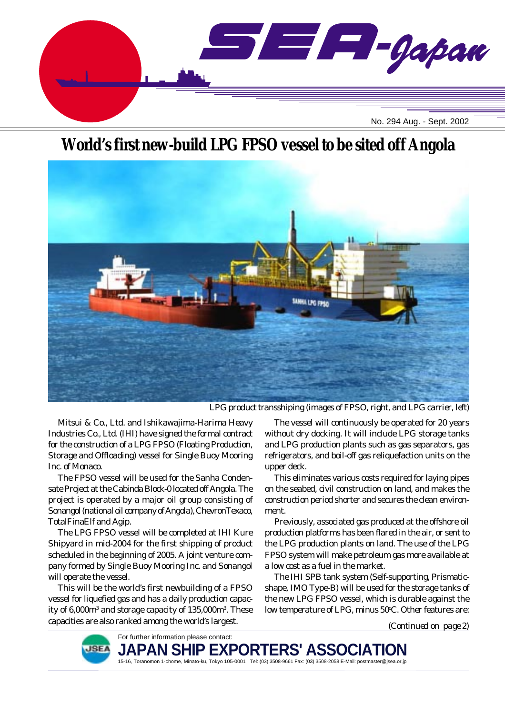

## **World's first new-build LPG FPSO vessel to be sited off Angola**



*LPG product transshiping (images of FPSO, right, and LPG carrier, left)*

Mitsui & Co., Ltd. and Ishikawajima-Harima Heavy Industries Co., Ltd. (IHI) have signed the formal contract for the construction of a LPG FPSO (Floating Production, Storage and Offloading) vessel for Single Buoy Mooring Inc. of Monaco.

The FPSO vessel will be used for the Sanha Condensate Project at the Cabinda Block-0 located off Angola. The project is operated by a major oil group consisting of Sonangol (national oil company of Angola), ChevronTexaco, TotalFinaElf and Agip.

The LPG FPSO vessel will be completed at IHI Kure Shipyard in mid-2004 for the first shipping of product scheduled in the beginning of 2005. A joint venture company formed by Single Buoy Mooring Inc. and Sonangol will operate the vessel.

This will be the world's first newbuilding of a FPSO vessel for liquefied gas and has a daily production capacity of 6,000m3 and storage capacity of 135,000m3 . These capacities are also ranked among the world's largest.

The vessel will continuously be operated for 20 years without dry docking. It will include LPG storage tanks and LPG production plants such as gas separators, gas refrigerators, and boil-off gas reliquefaction units on the upper deck.

This eliminates various costs required for laying pipes on the seabed, civil construction on land, and makes the construction period shorter and secures the clean environment.

Previously, associated gas produced at the offshore oil production platforms has been flared in the air, or sent to the LPG production plants on land. The use of the LPG FPSO system will make petroleum gas more available at a low cost as a fuel in the market.

The IHI SPB tank system (Self-supporting, Prismaticshape, IMO Type-B) will be used for the storage tanks of the new LPG FPSO vessel, which is durable against the low temperature of LPG, minus 50°C. Other features are:

*(Continued on page 2)*



For further information please contact: JAPAN SHIP EXPORTERS' ASSO**I** 15-16, Toranomon 1-chome, Minato-ku, Tokyo 105-0001 Tel: (03) 3508-9661 Fax: (03) 3508-2058 E-Mail: postmaster@jsea.or.jp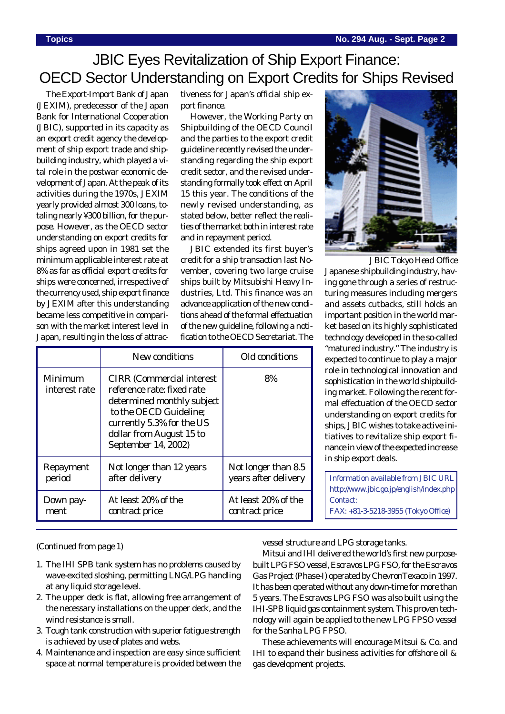## JBIC Eyes Revitalization of Ship Export Finance: OECD Sector Understanding on Export Credits for Ships Revised

The Export-Import Bank of Japan (JEXIM), predecessor of the Japan Bank for International Cooperation (JBIC), supported in its capacity as an export credit agency the development of ship export trade and shipbuilding industry, which played a vital role in the postwar economic development of Japan. At the peak of its activities during the 1970s, JEXIM yearly provided almost 300 loans, totaling nearly ¥300 billion, for the purpose. However, as the OECD sector understanding on export credits for ships agreed upon in 1981 set the minimum applicable interest rate at 8% as far as official export credits for ships were concerned, irrespective of the currency used, ship export finance by JEXIM after this understanding became less competitive in comparison with the market interest level in Japan, resulting in the loss of attractiveness for Japan's official ship export finance.

However, the Working Party on Shipbuilding of the OECD Council and the parties to the export credit guideline recently revised the understanding regarding the ship export credit sector, and the revised understanding formally took effect on April 15 this year. The conditions of the newly revised understanding, as stated below, better reflect the realities of the market both in interest rate and in repayment period.

JBIC extended its first buyer's credit for a ship transaction last November, covering two large cruise ships built by Mitsubishi Heavy Industries, Ltd. This finance was an advance application of the new conditions ahead of the formal effectuation of the new guideline, following a notification to the OECD Secretariat. The

|                          | New conditions                                                                                                                                                                                          | Old conditions       |
|--------------------------|---------------------------------------------------------------------------------------------------------------------------------------------------------------------------------------------------------|----------------------|
| Minimum<br>interest rate | <b>CIRR</b> (Commercial interest)<br>reference rate: fixed rate<br>determined monthly subject<br>to the OECD Guideline;<br>currently 5.3% for the US<br>dollar from August 15 to<br>September 14, 2002) | 8%                   |
| Repayment                | Not longer than 12 years                                                                                                                                                                                | Not longer than 8.5  |
| period                   | after delivery                                                                                                                                                                                          | years after delivery |
| Down pay-                | At least 20% of the                                                                                                                                                                                     | At least 20% of the  |
| ment                     | contract price                                                                                                                                                                                          | contract price       |



Japanese shipbuilding industry, having gone through a series of restructuring measures including mergers and assets cutbacks, still holds an important position in the world market based on its highly sophisticated technology developed in the so-called "matured industry." The industry is expected to continue to play a major role in technological innovation and sophistication in the world shipbuilding market. Following the recent formal effectuation of the OECD sector understanding on export credits for ships, JBIC wishes to take active initiatives to revitalize ship export finance in view of the expected increase in ship export deals. *JBIC Tokyo Head Office*

Information available from JBIC URL http://www.jbic.go.jp/english/index.php Contact: FAX: +81-3-5218-3955 (Tokyo Office)

#### *(Continued from page 1)*

- 1. The IHI SPB tank system has no problems caused by wave-excited sloshing, permitting LNG/LPG handling at any liquid storage level.
- 2. The upper deck is flat, allowing free arrangement of the necessary installations on the upper deck, and the wind resistance is small.
- 3. Tough tank construction with superior fatigue strength is achieved by use of plates and webs.
- 4. Maintenance and inspection are easy since sufficient space at normal temperature is provided between the

vessel structure and LPG storage tanks.

Mitsui and IHI delivered the world's first new purposebuilt LPG FSO vessel, *Escravos LPG FSO*, for the Escravos Gas Project (Phase-I) operated by ChevronTexaco in 1997. It has been operated without any down-time for more than 5 years. The *Escravos LPG FSO* was also built using the IHI-SPB liquid gas containment system. This proven technology will again be applied to the new LPG FPSO vessel for the Sanha LPG FPSO.

These achievements will encourage Mitsui & Co. and IHI to expand their business activities for offshore oil & gas development projects.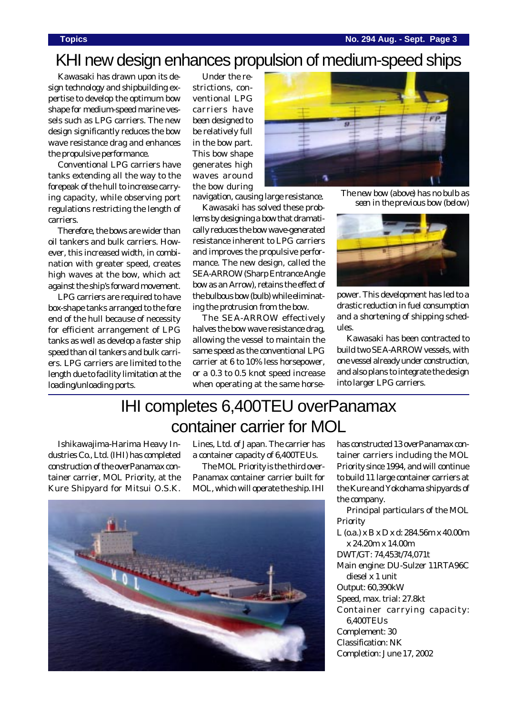## KHI new design enhances propulsion of medium-speed ships

Kawasaki has drawn upon its design technology and shipbuilding expertise to develop the optimum bow shape for medium-speed marine vessels such as LPG carriers. The new design significantly reduces the bow wave resistance drag and enhances the propulsive performance.

Conventional LPG carriers have tanks extending all the way to the forepeak of the hull to increase carrying capacity, while observing port regulations restricting the length of carriers.

Therefore, the bows are wider than oil tankers and bulk carriers. However, this increased width, in combination with greater speed, creates high waves at the bow, which act against the ship's forward movement.

LPG carriers are required to have box-shape tanks arranged to the fore end of the hull because of necessity for efficient arrangement of LPG tanks as well as develop a faster ship speed than oil tankers and bulk carriers. LPG carriers are limited to the length due to facility limitation at the loading/unloading ports.

Under the restrictions, conventional LPG carriers have been designed to be relatively full in the bow part. This bow shape generates high waves around the bow during



*The new bow (above) has no bulb as seen in the previous bow (below)* navigation, causing large resistance.

Kawasaki has solved these problems by designing a bow that dramatically reduces the bow wave-generated resistance inherent to LPG carriers and improves the propulsive performance. The new design, called the SEA-ARROW (Sharp Entrance Angle bow as an Arrow), retains the effect of the bulbous bow (bulb) while eliminating the protrusion from the bow.

The SEA-ARROW effectively halves the bow wave resistance drag, allowing the vessel to maintain the same speed as the conventional LPG carrier at 6 to 10% less horsepower, or a 0.3 to 0.5 knot speed increase when operating at the same horse-



power. This development has led to a drastic reduction in fuel consumption and a shortening of shipping schedules.

Kawasaki has been contracted to build two SEA-ARROW vessels, with one vessel already under construction, and also plans to integrate the design into larger LPG carriers.

# IHI completes 6,400TEU overPanamax container carrier for MOL

Ishikawajima-Harima Heavy Industries Co., Ltd. (IHI) has completed construction of the overPanamax container carrier, *MOL Priority*, at the Kure Shipyard for Mitsui O.S.K. Lines, Ltd. of Japan. The carrier has a container capacity of 6,400TEUs.

The *MOL Priority* is the third over-Panamax container carrier built for MOL, which will operate the ship. IHI



has constructed 13 overPanamax container carriers including the *MOL Priority* since 1994, and will continue to build 11 large container carriers at the Kure and Yokohama shipyards of the company.

Principal particulars of the *MOL Priority*

L (o.a.) x B x D x d: 284.56m x 40.00m x 24.20m x 14.00m DWT/GT: 74,453t/74,071t Main engine: DU-Sulzer 11RTA96C diesel x 1 unit Output: 60,390kW Speed, max. trial: 27.8kt Container carrying capacity: 6,400TEUs Complement: 30 Classification: NK Completion: June 17, 2002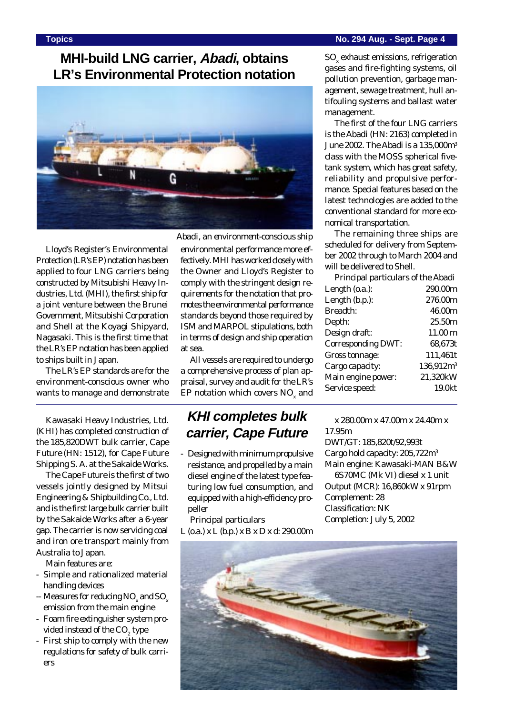## **MHI-build LNG carrier, Abadi, obtains LR's Environmental Protection notation**



Lloyd's Register's Environmental Protection (LR's EP) notation has been applied to four LNG carriers being constructed by Mitsubishi Heavy Industries, Ltd. (MHI), the first ship for a joint venture between the Brunei Government, Mitsubishi Corporation and Shell at the Koyagi Shipyard, Nagasaki. This is the first time that the LR's EP notation has been applied to ships built in Japan.

The LR's EP standards are for the environment-conscious owner who wants to manage and demonstrate

Kawasaki Heavy Industries, Ltd. (KHI) has completed construction of the 185,820DWT bulk carrier, *Cape Future* (HN: 1512), for Cape Future Shipping S. A. at the Sakaide Works.

The *Cape Future* is the first of two vessels jointly designed by Mitsui Engineering & Shipbuilding Co., Ltd. and is the first large bulk carrier built by the Sakaide Works after a 6-year gap. The carrier is now servicing coal and iron ore transport mainly from Australia to Japan.

Main features are:

- Simple and rationalized material handling devices
- -- Measures for reducing NO  $_{\mathrm{x}}$  and SO  $_{\mathrm{x}}$ emission from the main engine
- Foam fire extinguisher system provided instead of the CO $_{\textrm{\tiny{2}}}$  type
- First ship to comply with the new regulations for safety of bulk carriers

*Abadi, an environment-conscious ship* environmental performance more effectively. MHI has worked closely with the Owner and Lloyd's Register to comply with the stringent design requirements for the notation that promotes the environmental performance standards beyond those required by ISM and MARPOL stipulations, both in terms of design and ship operation at sea.

All vessels are required to undergo a comprehensive process of plan appraisal, survey and audit for the LR's EP notation which covers  $\mathrm{NO}_{_\mathrm{x}}$  and

### **KHI completes bulk carrier, Cape Future**

- Designed with minimum propulsive resistance, and propelled by a main diesel engine of the latest type featuring low fuel consumption, and equipped with a high-efficiency propeller

Principal particulars

L (o.a.) x L (b.p.) x B x D x d: 290.00m

 $\mathrm{SO}_\mathrm{x}$  exhaust emissions, refrigeration gases and fire-fighting systems, oil pollution prevention, garbage management, sewage treatment, hull antifouling systems and ballast water management.

The first of the four LNG carriers is the *Abadi* (HN: 2163) completed in June 2002. The Abadi is a 135,000m<sup>3</sup> class with the MOSS spherical fivetank system, which has great safety, reliability and propulsive performance. Special features based on the latest technologies are added to the conventional standard for more economical transportation.

The remaining three ships are scheduled for delivery from September 2002 through to March 2004 and will be delivered to Shell.

| Principal particulars of the Abadi |                       |  |
|------------------------------------|-----------------------|--|
| Length (o.a.):                     | 290.00m               |  |
| Length (b.p.):                     | 276.00m               |  |
| <b>Breadth:</b>                    | 46.00m                |  |
| Depth:                             | 25.50m                |  |
| Design draft:                      | 11.00 <sub>m</sub>    |  |
| <b>Corresponding DWT:</b>          | 68,673t               |  |
| Gross tonnage:                     | 111,461t              |  |
| Cargo capacity:                    | 136,912m <sup>3</sup> |  |
| Main engine power:                 | 21,320kW              |  |
| Service speed:                     | 19.0kt                |  |
|                                    |                       |  |

x 280.00m x 47.00m x 24.40m x 17.95m DWT/GT: 185,820t/92,993t Cargo hold capacity: 205,722m3 Main engine: Kawasaki-MAN B&W 6S70MC (Mk VI) diesel x 1 unit

Output (MCR): 16,860kW x 91rpm Complement: 28 Classification: NK Completion: July 5, 2002

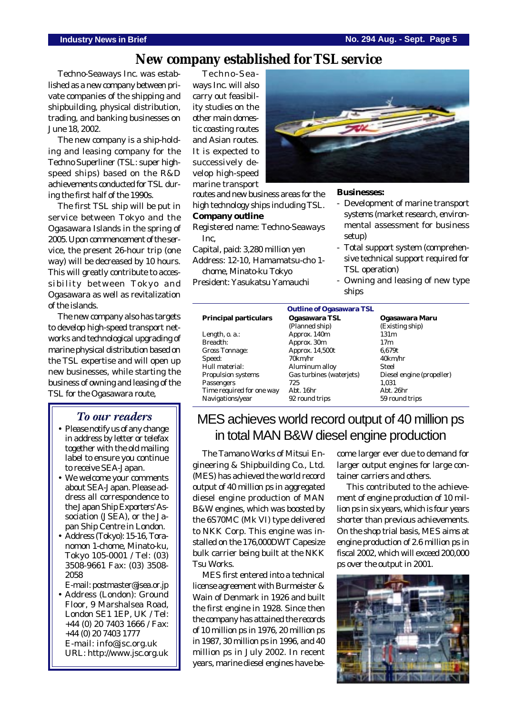### **New company established for TSL service**

Techno-Seaways Inc. was established as a new company between private companies of the shipping and shipbuilding, physical distribution, trading, and banking businesses on June 18, 2002.

The new company is a ship-holding and leasing company for the Techno Superliner (TSL: super highspeed ships) based on the R&D achievements conducted for TSL during the first half of the 1990s.

The first TSL ship will be put in service between Tokyo and the Ogasawara Islands in the spring of 2005. Upon commencement of the service, the present 26-hour trip (one way) will be decreased by 10 hours. This will greatly contribute to accessibility between Tokyo and Ogasawara as well as revitalization of the islands.

The new company also has targets to develop high-speed transport networks and technological upgrading of marine physical distribution based on the TSL expertise and will open up new businesses, while starting the business of owning and leasing of the TSL for the Ogasawara route,

#### *To our readers*

- Please notify us of any change in address by letter or telefax together with the old mailing label to ensure you continue to receive SEA-Japan.
- We welcome your comments about SEA-Japan. Please address all correspondence to the Japan Ship Exporters' Association (JSEA), or the Japan Ship Centre in London.
- Address (Tokyo): 15-16, Toranomon 1-chome, Minato-ku, Tokyo 105-0001 / Tel: (03) 3508-9661 Fax: (03) 3508- 2058

E-mail: postmaster@jsea.or.jp

• Address (London): Ground Floor, 9 Marshalsea Road, London SE1 1EP, UK / Tel: +44 (0) 20 7403 1666 / Fax: +44 (0) 20 7403 1777 E-mail: info@jsc.org.uk URL: http://www.jsc.org.uk

Techno-Seaways Inc. will also carry out feasibility studies on the other main domestic coasting routes and Asian routes. It is expected to successively develop high-speed marine transport

routes and new business areas for the high technology ships including TSL.

#### **Company outline**

Registered name: Techno-Seaways Inc,

Capital, paid: 3,280 million yen Address: 12-10, Hamamatsu-cho 1-

chome, Minato-ku Tokyo

President: Yasukatsu Yamauchi



#### **Businesses:**

- Development of marine transport systems (market research, environmental assessment for business setup)
- Total support system (comprehensive technical support required for TSL operation)
- Owning and leasing of new type ships

| <b>Outline of Ogasawara TSL</b> |                          |                           |  |  |
|---------------------------------|--------------------------|---------------------------|--|--|
| <b>Principal particulars</b>    | Ogasawara TSL            | Ogasawara Maru            |  |  |
|                                 | (Planned ship)           | (Existing ship)           |  |  |
| Length, o. a.:                  | Approx. 140m             | 131m                      |  |  |
| Breadth:                        | Approx. 30m              | 17m                       |  |  |
| <b>Gross Tonnage:</b>           | Approx. 14,500t          | 6,679t                    |  |  |
| Speed:                          | 70km/hr                  | 40km/hr                   |  |  |
| Hull material:                  | Aluminum alloy           | Steel                     |  |  |
| <b>Propulsion systems</b>       | Gas turbines (waterjets) | Diesel engine (propeller) |  |  |
| Passengers                      | 725                      | 1,031                     |  |  |
| Time required for one way       | Abt. 16hr                | Abt. 26hr                 |  |  |
| Navigations/year                | 92 round trips           | 59 round trips            |  |  |

## MES achieves world record output of 40 million ps in total MAN B&W diesel engine production

The Tamano Works of Mitsui Engineering & Shipbuilding Co., Ltd. (MES) has achieved the world record output of 40 million ps in aggregated diesel engine production of MAN B&W engines, which was boosted by the 6S70MC (Mk VI) type delivered to NKK Corp. This engine was installed on the 176,000DWT Capesize bulk carrier being built at the NKK Tsu Works.

MES first entered into a technical license agreement with Burmeister & Wain of Denmark in 1926 and built the first engine in 1928. Since then the company has attained the records of 10 million ps in 1976, 20 million ps in 1987, 30 million ps in 1996, and 40 million ps in July 2002. In recent years, marine diesel engines have become larger ever due to demand for larger output engines for large container carriers and others.

This contributed to the achievement of engine production of 10 million ps in six years, which is four years shorter than previous achievements. On the shop trial basis, MES aims at engine production of 2.6 million ps in fiscal 2002, which will exceed 200,000 ps over the output in 2001.